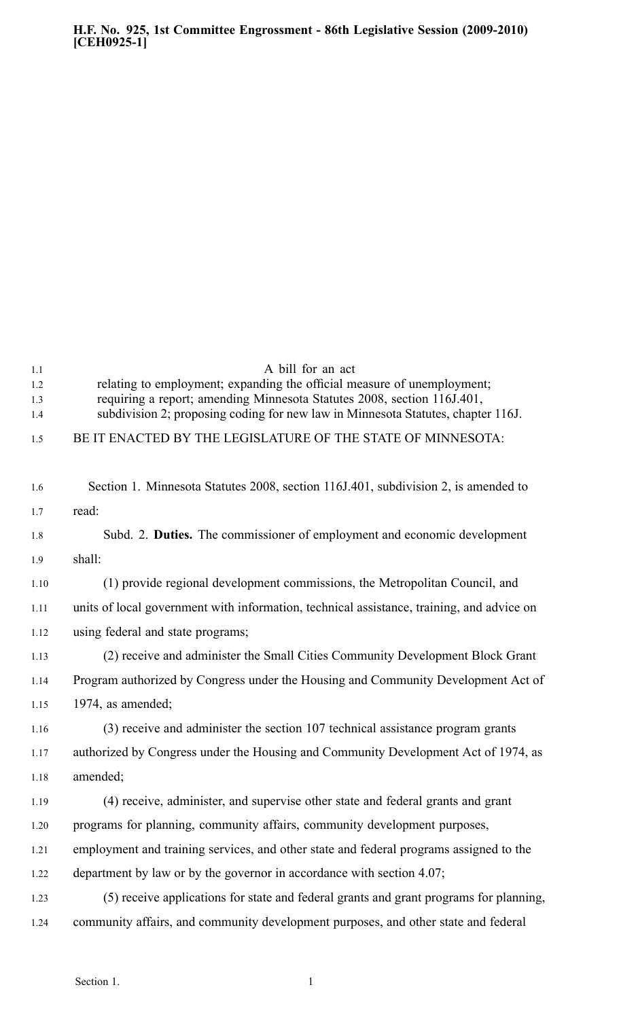| 1.1  | A bill for an act                                                                         |
|------|-------------------------------------------------------------------------------------------|
| 1.2  | relating to employment; expanding the official measure of unemployment;                   |
| 1.3  | requiring a report; amending Minnesota Statutes 2008, section 116J.401,                   |
| 1.4  | subdivision 2; proposing coding for new law in Minnesota Statutes, chapter 116J.          |
| 1.5  | BE IT ENACTED BY THE LEGISLATURE OF THE STATE OF MINNESOTA:                               |
|      |                                                                                           |
| 1.6  | Section 1. Minnesota Statutes 2008, section 116J.401, subdivision 2, is amended to        |
| 1.7  | read:                                                                                     |
| 1.8  | Subd. 2. Duties. The commissioner of employment and economic development                  |
| 1.9  | shall:                                                                                    |
| 1.10 | (1) provide regional development commissions, the Metropolitan Council, and               |
| 1.11 | units of local government with information, technical assistance, training, and advice on |
| 1.12 | using federal and state programs;                                                         |
| 1.13 | (2) receive and administer the Small Cities Community Development Block Grant             |
| 1.14 | Program authorized by Congress under the Housing and Community Development Act of         |
| 1.15 | $1974$ , as amended;                                                                      |
| 1.16 | (3) receive and administer the section 107 technical assistance program grants            |
| 1.17 | authorized by Congress under the Housing and Community Development Act of 1974, as        |
| 1.18 | amended;                                                                                  |
| 1.19 | (4) receive, administer, and supervise other state and federal grants and grant           |
| 1.20 | programs for planning, community affairs, community development purposes,                 |
| 1.21 | employment and training services, and other state and federal programs assigned to the    |
| 1.22 | department by law or by the governor in accordance with section 4.07;                     |
| 1.23 | (5) receive applications for state and federal grants and grant programs for planning,    |
| 1.24 | community affairs, and community development purposes, and other state and federal        |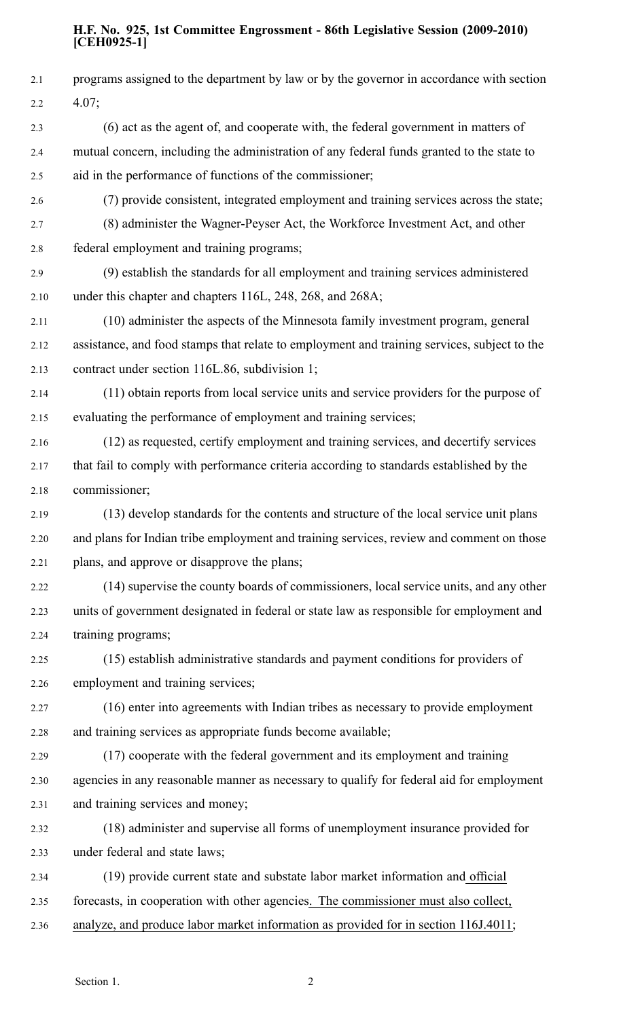## **H.F. No. 925, 1st Committee Engrossment - 86th Legislative Session (2009-2010) [CEH0925-1]**

| 2.1     | programs assigned to the department by law or by the governor in accordance with section    |
|---------|---------------------------------------------------------------------------------------------|
| $2.2\,$ | 4.07;                                                                                       |
| 2.3     | (6) act as the agent of, and cooperate with, the federal government in matters of           |
| 2.4     | mutual concern, including the administration of any federal funds granted to the state to   |
| 2.5     | aid in the performance of functions of the commissioner;                                    |
| 2.6     | (7) provide consistent, integrated employment and training services across the state;       |
| 2.7     | (8) administer the Wagner-Peyser Act, the Workforce Investment Act, and other               |
| 2.8     | federal employment and training programs;                                                   |
| 2.9     | (9) establish the standards for all employment and training services administered           |
| 2.10    | under this chapter and chapters 116L, 248, 268, and 268A;                                   |
| 2.11    | (10) administer the aspects of the Minnesota family investment program, general             |
| 2.12    | assistance, and food stamps that relate to employment and training services, subject to the |
| 2.13    | contract under section 116L.86, subdivision 1;                                              |
| 2.14    | (11) obtain reports from local service units and service providers for the purpose of       |
| 2.15    | evaluating the performance of employment and training services;                             |
| 2.16    | (12) as requested, certify employment and training services, and decertify services         |
| 2.17    | that fail to comply with performance criteria according to standards established by the     |
| 2.18    | commissioner;                                                                               |
| 2.19    | (13) develop standards for the contents and structure of the local service unit plans       |
| 2.20    | and plans for Indian tribe employment and training services, review and comment on those    |
| 2.21    | plans, and approve or disapprove the plans;                                                 |
| 2.22    | (14) supervise the county boards of commissioners, local service units, and any other       |
| 2.23    | units of government designated in federal or state law as responsible for employment and    |
| 2.24    | training programs;                                                                          |
| 2.25    | (15) establish administrative standards and payment conditions for providers of             |
| 2.26    | employment and training services;                                                           |
| 2.27    | (16) enter into agreements with Indian tribes as necessary to provide employment            |
| 2.28    | and training services as appropriate funds become available;                                |
| 2.29    | (17) cooperate with the federal government and its employment and training                  |
| 2.30    | agencies in any reasonable manner as necessary to qualify for federal aid for employment    |
| 2.31    | and training services and money;                                                            |
| 2.32    | (18) administer and supervise all forms of unemployment insurance provided for              |
| 2.33    | under federal and state laws;                                                               |
| 2.34    | (19) provide current state and substate labor market information and official               |
| 2.35    | forecasts, in cooperation with other agencies. The commissioner must also collect,          |
| 2.36    | analyze, and produce labor market information as provided for in section 116J.4011;         |